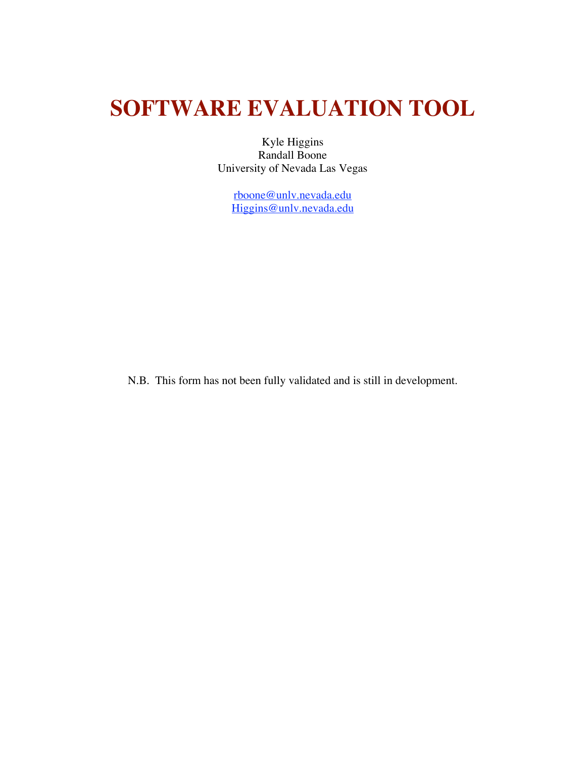## **SOFTWARE EVALUATION TOOL**

Kyle Higgins Randall Boone University of Nevada Las Vegas

> <u>rboone@unlv.nevada.edu</u> Higgins@unlv.nevada.edu

N.B. This form has not been fully validated and is still in development.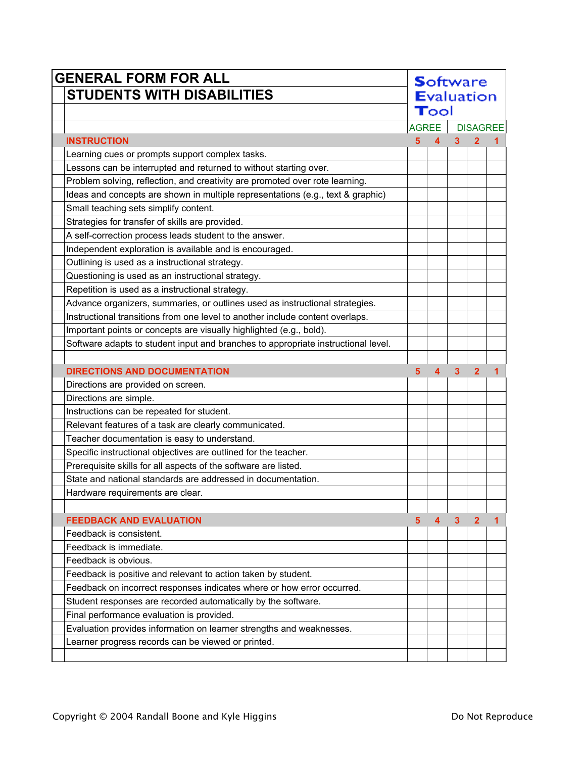| <b>GENERAL FORM FOR ALL</b> |                                                                                   |                | <b>Software</b>    |                |                 |   |  |
|-----------------------------|-----------------------------------------------------------------------------------|----------------|--------------------|----------------|-----------------|---|--|
|                             | <b>STUDENTS WITH DISABILITIES</b>                                                 |                | <b>E</b> valuation |                |                 |   |  |
|                             |                                                                                   | Tool           |                    |                |                 |   |  |
|                             |                                                                                   | <b>AGREE</b>   |                    |                | <b>DISAGREE</b> |   |  |
|                             | <b>INSTRUCTION</b>                                                                | 5 <sup>5</sup> | $\overline{4}$     | 3              | $\overline{2}$  |   |  |
|                             | Learning cues or prompts support complex tasks.                                   |                |                    |                |                 |   |  |
|                             | Lessons can be interrupted and returned to without starting over.                 |                |                    |                |                 |   |  |
|                             | Problem solving, reflection, and creativity are promoted over rote learning.      |                |                    |                |                 |   |  |
|                             | Ideas and concepts are shown in multiple representations (e.g., text & graphic)   |                |                    |                |                 |   |  |
|                             | Small teaching sets simplify content.                                             |                |                    |                |                 |   |  |
|                             | Strategies for transfer of skills are provided.                                   |                |                    |                |                 |   |  |
|                             | A self-correction process leads student to the answer.                            |                |                    |                |                 |   |  |
|                             | Independent exploration is available and is encouraged.                           |                |                    |                |                 |   |  |
|                             | Outlining is used as a instructional strategy.                                    |                |                    |                |                 |   |  |
|                             | Questioning is used as an instructional strategy.                                 |                |                    |                |                 |   |  |
|                             | Repetition is used as a instructional strategy.                                   |                |                    |                |                 |   |  |
|                             | Advance organizers, summaries, or outlines used as instructional strategies.      |                |                    |                |                 |   |  |
|                             | Instructional transitions from one level to another include content overlaps.     |                |                    |                |                 |   |  |
|                             | Important points or concepts are visually highlighted (e.g., bold).               |                |                    |                |                 |   |  |
|                             | Software adapts to student input and branches to appropriate instructional level. |                |                    |                |                 |   |  |
|                             |                                                                                   |                |                    |                |                 |   |  |
|                             | <b>DIRECTIONS AND DOCUMENTATION</b>                                               | 5              | 4                  | $\overline{3}$ | $\overline{2}$  |   |  |
|                             | Directions are provided on screen.                                                |                |                    |                |                 |   |  |
|                             | Directions are simple.                                                            |                |                    |                |                 |   |  |
|                             | Instructions can be repeated for student.                                         |                |                    |                |                 |   |  |
|                             | Relevant features of a task are clearly communicated.                             |                |                    |                |                 |   |  |
|                             | Teacher documentation is easy to understand.                                      |                |                    |                |                 |   |  |
|                             | Specific instructional objectives are outlined for the teacher.                   |                |                    |                |                 |   |  |
|                             | Prerequisite skills for all aspects of the software are listed.                   |                |                    |                |                 |   |  |
|                             | State and national standards are addressed in documentation.                      |                |                    |                |                 |   |  |
|                             | Hardware requirements are clear.                                                  |                |                    |                |                 |   |  |
|                             |                                                                                   |                |                    |                |                 |   |  |
|                             | <b>FEEDBACK AND EVALUATION</b>                                                    | 5              | 4                  | 3              | $\overline{2}$  | 1 |  |
|                             | Feedback is consistent.                                                           |                |                    |                |                 |   |  |
|                             | Feedback is immediate.                                                            |                |                    |                |                 |   |  |
|                             | Feedback is obvious.                                                              |                |                    |                |                 |   |  |
|                             | Feedback is positive and relevant to action taken by student.                     |                |                    |                |                 |   |  |
|                             | Feedback on incorrect responses indicates where or how error occurred.            |                |                    |                |                 |   |  |
|                             | Student responses are recorded automatically by the software.                     |                |                    |                |                 |   |  |
|                             | Final performance evaluation is provided.                                         |                |                    |                |                 |   |  |
|                             | Evaluation provides information on learner strengths and weaknesses.              |                |                    |                |                 |   |  |
|                             | Learner progress records can be viewed or printed.                                |                |                    |                |                 |   |  |
|                             |                                                                                   |                |                    |                |                 |   |  |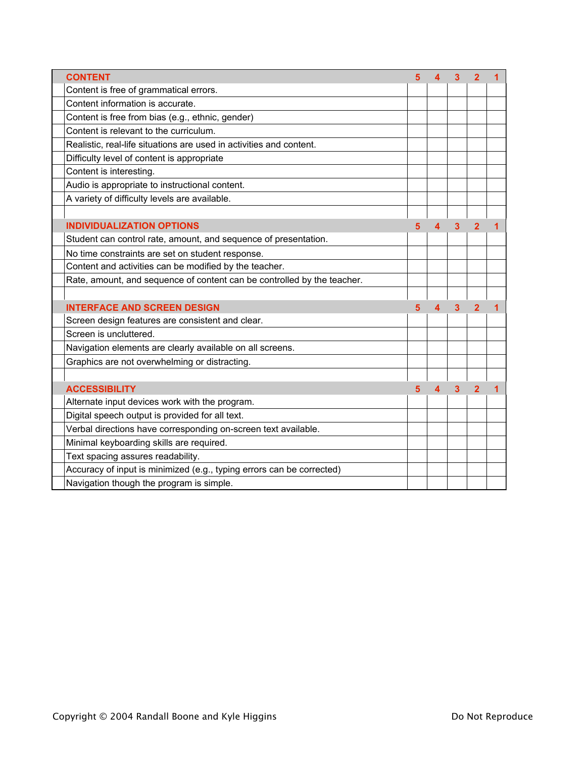| <b>CONTENT</b>                                                          | 5 | 4                       | 3                       | $\overline{2}$ | 1 |
|-------------------------------------------------------------------------|---|-------------------------|-------------------------|----------------|---|
| Content is free of grammatical errors.                                  |   |                         |                         |                |   |
| Content information is accurate.                                        |   |                         |                         |                |   |
| Content is free from bias (e.g., ethnic, gender)                        |   |                         |                         |                |   |
| Content is relevant to the curriculum.                                  |   |                         |                         |                |   |
| Realistic, real-life situations are used in activities and content.     |   |                         |                         |                |   |
| Difficulty level of content is appropriate                              |   |                         |                         |                |   |
| Content is interesting.                                                 |   |                         |                         |                |   |
| Audio is appropriate to instructional content.                          |   |                         |                         |                |   |
| A variety of difficulty levels are available.                           |   |                         |                         |                |   |
|                                                                         |   |                         |                         |                |   |
| <b>INDIVIDUALIZATION OPTIONS</b>                                        | 5 | 4                       | 3                       | $\overline{2}$ | 1 |
| Student can control rate, amount, and sequence of presentation.         |   |                         |                         |                |   |
| No time constraints are set on student response.                        |   |                         |                         |                |   |
| Content and activities can be modified by the teacher.                  |   |                         |                         |                |   |
| Rate, amount, and sequence of content can be controlled by the teacher. |   |                         |                         |                |   |
|                                                                         |   |                         |                         |                |   |
| <b>INTERFACE AND SCREEN DESIGN</b>                                      | 5 | 4                       | 3                       | $\overline{2}$ | 1 |
| Screen design features are consistent and clear.                        |   |                         |                         |                |   |
| Screen is uncluttered.                                                  |   |                         |                         |                |   |
| Navigation elements are clearly available on all screens.               |   |                         |                         |                |   |
| Graphics are not overwhelming or distracting.                           |   |                         |                         |                |   |
|                                                                         |   |                         |                         |                |   |
| <b>ACCESSIBILITY</b>                                                    | 5 | $\overline{\mathbf{4}}$ | $\overline{\mathbf{3}}$ | $\overline{2}$ |   |
| Alternate input devices work with the program.                          |   |                         |                         |                |   |
| Digital speech output is provided for all text.                         |   |                         |                         |                |   |
| Verbal directions have corresponding on-screen text available.          |   |                         |                         |                |   |
| Minimal keyboarding skills are required.                                |   |                         |                         |                |   |
| Text spacing assures readability.                                       |   |                         |                         |                |   |
| Accuracy of input is minimized (e.g., typing errors can be corrected)   |   |                         |                         |                |   |
| Navigation though the program is simple.                                |   |                         |                         |                |   |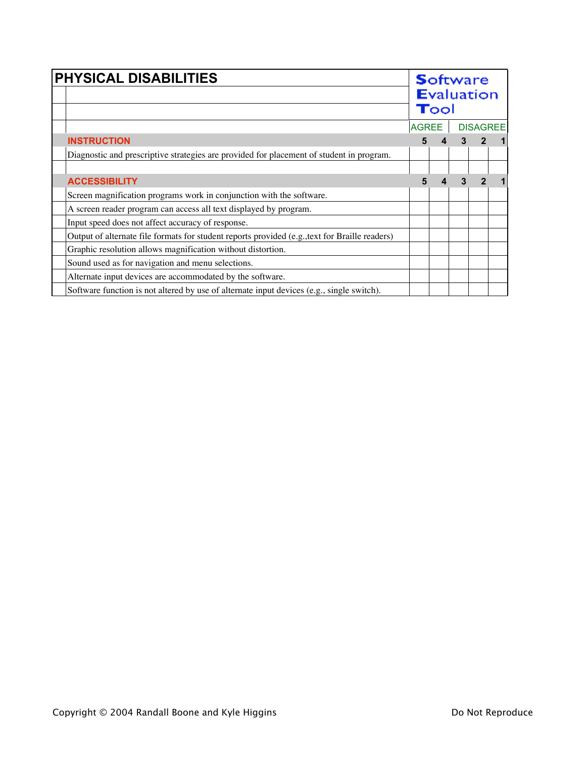| PHYSICAL DISABILITIES                                                                          |              |  | <b>Software</b><br><b>Evaluation</b><br>$\mathbf{T}$ ool |  |  |  |  |
|------------------------------------------------------------------------------------------------|--------------|--|----------------------------------------------------------|--|--|--|--|
|                                                                                                | <b>AGREE</b> |  | <b>DISAGREE</b>                                          |  |  |  |  |
| <b>INSTRUCTION</b>                                                                             | 5            |  |                                                          |  |  |  |  |
| Diagnostic and prescriptive strategies are provided for placement of student in program.       |              |  |                                                          |  |  |  |  |
|                                                                                                |              |  |                                                          |  |  |  |  |
| <b>ACCESSIBILITY</b>                                                                           |              |  |                                                          |  |  |  |  |
| Screen magnification programs work in conjunction with the software.                           |              |  |                                                          |  |  |  |  |
| A screen reader program can access all text displayed by program.                              |              |  |                                                          |  |  |  |  |
| Input speed does not affect accuracy of response.                                              |              |  |                                                          |  |  |  |  |
| Output of alternate file formats for student reports provided (e.g., text for Braille readers) |              |  |                                                          |  |  |  |  |
| Graphic resolution allows magnification without distortion.                                    |              |  |                                                          |  |  |  |  |
| Sound used as for navigation and menu selections.                                              |              |  |                                                          |  |  |  |  |
| Alternate input devices are accommodated by the software.                                      |              |  |                                                          |  |  |  |  |
| Software function is not altered by use of alternate input devices (e.g., single switch).      |              |  |                                                          |  |  |  |  |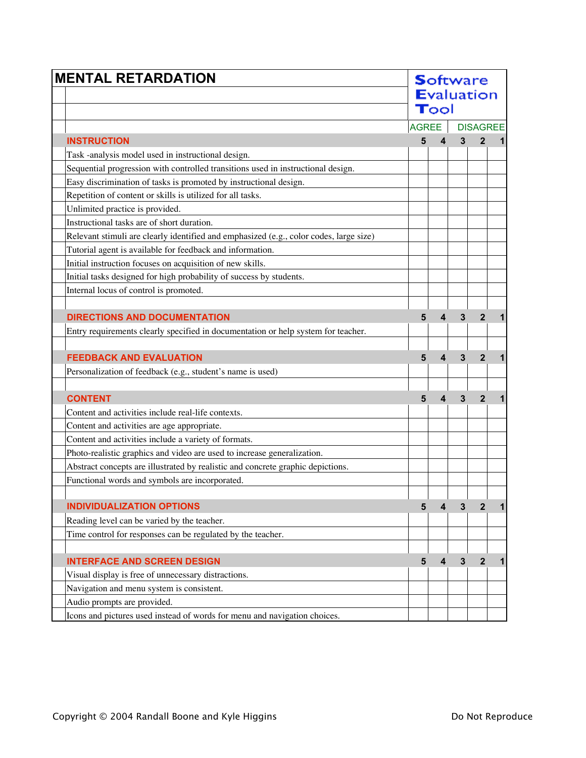| <b>MENTAL RETARDATION</b>                                                              | <b>S</b> oftware<br><b>Evaluation</b><br>Tool |   |              |                  |             |
|----------------------------------------------------------------------------------------|-----------------------------------------------|---|--------------|------------------|-------------|
|                                                                                        | <b>AGREE</b>                                  |   |              | <b>DISAGREE</b>  |             |
| <b>INSTRUCTION</b>                                                                     | 5                                             | 4 | 3            |                  |             |
| Task -analysis model used in instructional design.                                     |                                               |   |              |                  |             |
| Sequential progression with controlled transitions used in instructional design.       |                                               |   |              |                  |             |
| Easy discrimination of tasks is promoted by instructional design.                      |                                               |   |              |                  |             |
| Repetition of content or skills is utilized for all tasks.                             |                                               |   |              |                  |             |
| Unlimited practice is provided.                                                        |                                               |   |              |                  |             |
| Instructional tasks are of short duration.                                             |                                               |   |              |                  |             |
| Relevant stimuli are clearly identified and emphasized (e.g., color codes, large size) |                                               |   |              |                  |             |
| Tutorial agent is available for feedback and information.                              |                                               |   |              |                  |             |
| Initial instruction focuses on acquisition of new skills.                              |                                               |   |              |                  |             |
| Initial tasks designed for high probability of success by students.                    |                                               |   |              |                  |             |
| Internal locus of control is promoted.                                                 |                                               |   |              |                  |             |
|                                                                                        |                                               |   |              |                  |             |
| <b>DIRECTIONS AND DOCUMENTATION</b>                                                    | 5                                             | 4 | 3            | $\overline{2}$   |             |
| Entry requirements clearly specified in documentation or help system for teacher.      |                                               |   |              |                  |             |
|                                                                                        |                                               |   |              |                  |             |
| <b>FEEDBACK AND EVALUATION</b>                                                         | 5                                             | 4 | 3            | $\overline{2}$   |             |
| Personalization of feedback (e.g., student's name is used)                             |                                               |   |              |                  |             |
|                                                                                        |                                               |   |              |                  |             |
| <b>CONTENT</b>                                                                         | 5                                             | 4 | 3            | $\overline{2}$   |             |
| Content and activities include real-life contexts.                                     |                                               |   |              |                  |             |
| Content and activities are age appropriate.                                            |                                               |   |              |                  |             |
| Content and activities include a variety of formats.                                   |                                               |   |              |                  |             |
| Photo-realistic graphics and video are used to increase generalization.                |                                               |   |              |                  |             |
| Abstract concepts are illustrated by realistic and concrete graphic depictions.        |                                               |   |              |                  |             |
| Functional words and symbols are incorporated.                                         |                                               |   |              |                  |             |
|                                                                                        |                                               |   |              |                  |             |
| <b>INDIVIDUALIZATION OPTIONS</b>                                                       | 5                                             | 4 | 3            | $\boldsymbol{2}$ | 1           |
| Reading level can be varied by the teacher.                                            |                                               |   |              |                  |             |
| Time control for responses can be regulated by the teacher.                            |                                               |   |              |                  |             |
|                                                                                        |                                               |   |              |                  |             |
| <b>INTERFACE AND SCREEN DESIGN</b>                                                     | 5                                             | 4 | $\mathbf{3}$ | $\overline{2}$   | $\mathbf 1$ |
| Visual display is free of unnecessary distractions.                                    |                                               |   |              |                  |             |
| Navigation and menu system is consistent.                                              |                                               |   |              |                  |             |
| Audio prompts are provided.                                                            |                                               |   |              |                  |             |
| Icons and pictures used instead of words for menu and navigation choices.              |                                               |   |              |                  |             |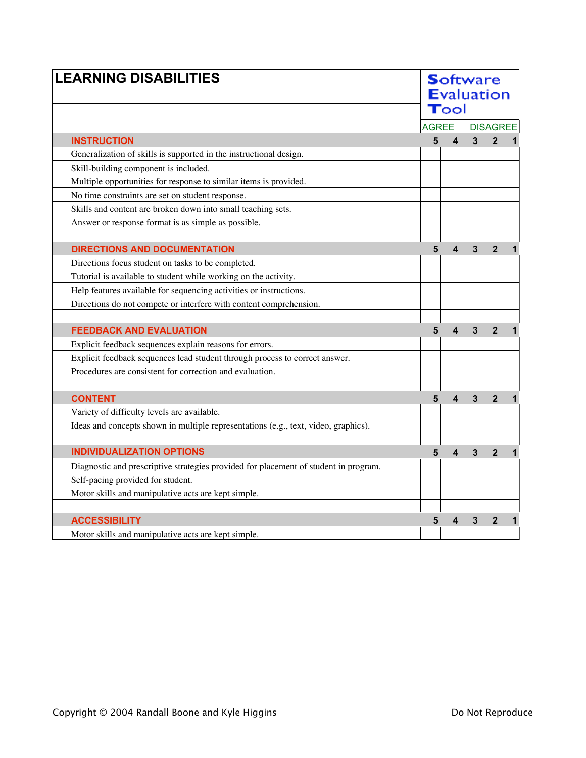| <b>LEARNING DISABILITIES</b>                                                         |                   |                         |              | <b>Software</b> |                 |  |  |  |  |
|--------------------------------------------------------------------------------------|-------------------|-------------------------|--------------|-----------------|-----------------|--|--|--|--|
|                                                                                      | <b>Evaluation</b> |                         |              |                 |                 |  |  |  |  |
|                                                                                      |                   | $\mathbf{T}$ ool        |              |                 |                 |  |  |  |  |
|                                                                                      | <b>AGREE</b>      |                         |              |                 | <b>DISAGREE</b> |  |  |  |  |
| <b>INSTRUCTION</b>                                                                   | 5                 | $\overline{\mathbf{4}}$ | $\mathbf{3}$ | $\overline{2}$  | $\mathbf 1$     |  |  |  |  |
| Generalization of skills is supported in the instructional design.                   |                   |                         |              |                 |                 |  |  |  |  |
| Skill-building component is included.                                                |                   |                         |              |                 |                 |  |  |  |  |
| Multiple opportunities for response to similar items is provided.                    |                   |                         |              |                 |                 |  |  |  |  |
| No time constraints are set on student response.                                     |                   |                         |              |                 |                 |  |  |  |  |
| Skills and content are broken down into small teaching sets.                         |                   |                         |              |                 |                 |  |  |  |  |
| Answer or response format is as simple as possible.                                  |                   |                         |              |                 |                 |  |  |  |  |
|                                                                                      |                   |                         |              |                 |                 |  |  |  |  |
| <b>DIRECTIONS AND DOCUMENTATION</b>                                                  | 5                 | $\overline{\mathbf{4}}$ | 3            | $\overline{2}$  | 1               |  |  |  |  |
| Directions focus student on tasks to be completed.                                   |                   |                         |              |                 |                 |  |  |  |  |
| Tutorial is available to student while working on the activity.                      |                   |                         |              |                 |                 |  |  |  |  |
| Help features available for sequencing activities or instructions.                   |                   |                         |              |                 |                 |  |  |  |  |
| Directions do not compete or interfere with content comprehension.                   |                   |                         |              |                 |                 |  |  |  |  |
|                                                                                      |                   |                         |              |                 |                 |  |  |  |  |
| <b>FEEDBACK AND EVALUATION</b>                                                       | 5                 | $\boldsymbol{4}$        | 3            | $\mathbf{2}$    | 1               |  |  |  |  |
| Explicit feedback sequences explain reasons for errors.                              |                   |                         |              |                 |                 |  |  |  |  |
| Explicit feedback sequences lead student through process to correct answer.          |                   |                         |              |                 |                 |  |  |  |  |
| Procedures are consistent for correction and evaluation.                             |                   |                         |              |                 |                 |  |  |  |  |
|                                                                                      |                   |                         |              |                 |                 |  |  |  |  |
| <b>CONTENT</b>                                                                       | 5                 | $\overline{\mathbf{4}}$ | 3            | $\overline{2}$  | 1               |  |  |  |  |
| Variety of difficulty levels are available.                                          |                   |                         |              |                 |                 |  |  |  |  |
| Ideas and concepts shown in multiple representations (e.g., text, video, graphics).  |                   |                         |              |                 |                 |  |  |  |  |
|                                                                                      |                   |                         |              |                 |                 |  |  |  |  |
| <b>INDIVIDUALIZATION OPTIONS</b>                                                     | 5                 | $\overline{\mathbf{4}}$ | 3            | $\overline{2}$  | 1               |  |  |  |  |
| Diagnostic and prescriptive strategies provided for placement of student in program. |                   |                         |              |                 |                 |  |  |  |  |
| Self-pacing provided for student.                                                    |                   |                         |              |                 |                 |  |  |  |  |
| Motor skills and manipulative acts are kept simple.                                  |                   |                         |              |                 |                 |  |  |  |  |
|                                                                                      |                   |                         |              |                 |                 |  |  |  |  |
| <b>ACCESSIBILITY</b>                                                                 | 5                 | 4                       | 3            | $\overline{2}$  |                 |  |  |  |  |
| Motor skills and manipulative acts are kept simple.                                  |                   |                         |              |                 |                 |  |  |  |  |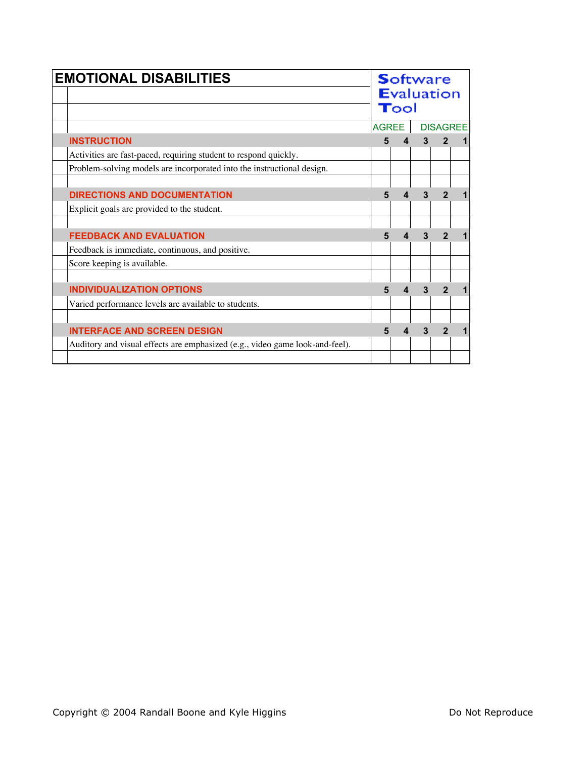| <b>EMOTIONAL DISABILITIES</b>                                                | <b>Software</b><br><b>Evaluation</b><br>Tool |                 |   |   |  |  |
|------------------------------------------------------------------------------|----------------------------------------------|-----------------|---|---|--|--|
|                                                                              | <b>AGREE</b>                                 | <b>DISAGREE</b> |   |   |  |  |
| <b>INSTRUCTION</b>                                                           | 5                                            | 4               | 3 |   |  |  |
| Activities are fast-paced, requiring student to respond quickly.             |                                              |                 |   |   |  |  |
| Problem-solving models are incorporated into the instructional design.       |                                              |                 |   |   |  |  |
|                                                                              |                                              |                 |   |   |  |  |
| <b>DIRECTIONS AND DOCUMENTATION</b>                                          | 5                                            |                 |   |   |  |  |
| Explicit goals are provided to the student.                                  |                                              |                 |   |   |  |  |
|                                                                              |                                              |                 |   |   |  |  |
| <b>FEEDBACK AND EVALUATION</b>                                               | 5                                            | 4               |   | 2 |  |  |
| Feedback is immediate, continuous, and positive.                             |                                              |                 |   |   |  |  |
| Score keeping is available.                                                  |                                              |                 |   |   |  |  |
|                                                                              |                                              |                 |   |   |  |  |
| <b>INDIVIDUALIZATION OPTIONS</b>                                             | 5                                            | 4               |   |   |  |  |
| Varied performance levels are available to students.                         |                                              |                 |   |   |  |  |
|                                                                              |                                              |                 |   |   |  |  |
| <b>INTERFACE AND SCREEN DESIGN</b>                                           | 5                                            | 4               | 3 |   |  |  |
| Auditory and visual effects are emphasized (e.g., video game look-and-feel). |                                              |                 |   |   |  |  |
|                                                                              |                                              |                 |   |   |  |  |